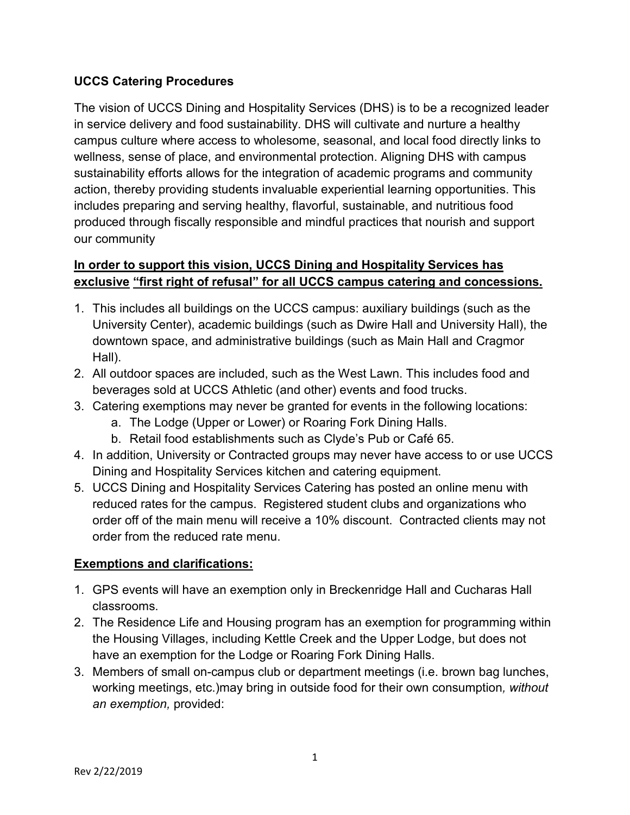## **UCCS Catering Procedures**

The vision of UCCS Dining and Hospitality Services (DHS) is to be a recognized leader in service delivery and food sustainability. DHS will cultivate and nurture a healthy campus culture where access to wholesome, seasonal, and local food directly links to wellness, sense of place, and environmental protection. Aligning DHS with campus sustainability efforts allows for the integration of academic programs and community action, thereby providing students invaluable experiential learning opportunities. This includes preparing and serving healthy, flavorful, sustainable, and nutritious food produced through fiscally responsible and mindful practices that nourish and support our community

## **In order to support this vision, UCCS Dining and Hospitality Services has exclusive "first right of refusal" for all UCCS campus catering and concessions.**

- 1. This includes all buildings on the UCCS campus: auxiliary buildings (such as the University Center), academic buildings (such as Dwire Hall and University Hall), the downtown space, and administrative buildings (such as Main Hall and Cragmor Hall).
- 2. All outdoor spaces are included, such as the West Lawn. This includes food and beverages sold at UCCS Athletic (and other) events and food trucks.
- 3. Catering exemptions may never be granted for events in the following locations:
	- a. The Lodge (Upper or Lower) or Roaring Fork Dining Halls.
	- b. Retail food establishments such as Clyde's Pub or Café 65.
- 4. In addition, University or Contracted groups may never have access to or use UCCS Dining and Hospitality Services kitchen and catering equipment.
- 5. UCCS Dining and Hospitality Services Catering has posted an online menu with reduced rates for the campus. Registered student clubs and organizations who order off of the main menu will receive a 10% discount. Contracted clients may not order from the reduced rate menu.

## **Exemptions and clarifications:**

- 1. GPS events will have an exemption only in Breckenridge Hall and Cucharas Hall classrooms.
- 2. The Residence Life and Housing program has an exemption for programming within the Housing Villages, including Kettle Creek and the Upper Lodge, but does not have an exemption for the Lodge or Roaring Fork Dining Halls.
- 3. Members of small on-campus club or department meetings (i.e. brown bag lunches, working meetings, etc.)may bring in outside food for their own consumption*, without an exemption,* provided: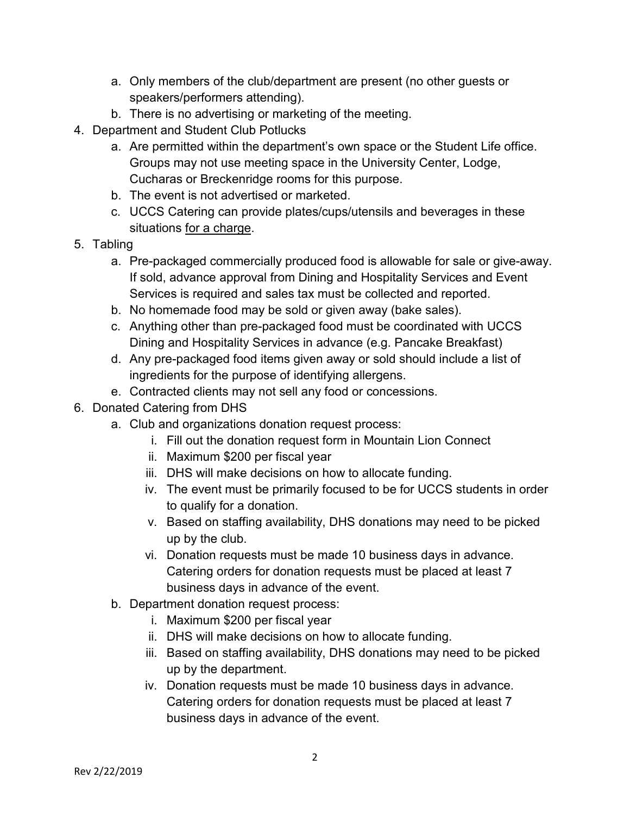- a. Only members of the club/department are present (no other guests or speakers/performers attending).
- b. There is no advertising or marketing of the meeting.
- 4. Department and Student Club Potlucks
	- a. Are permitted within the department's own space or the Student Life office. Groups may not use meeting space in the University Center, Lodge, Cucharas or Breckenridge rooms for this purpose.
	- b. The event is not advertised or marketed.
	- c. UCCS Catering can provide plates/cups/utensils and beverages in these situations for a charge.
- 5. Tabling
	- a. Pre-packaged commercially produced food is allowable for sale or give-away. If sold, advance approval from Dining and Hospitality Services and Event Services is required and sales tax must be collected and reported.
	- b. No homemade food may be sold or given away (bake sales).
	- c. Anything other than pre-packaged food must be coordinated with UCCS Dining and Hospitality Services in advance (e.g. Pancake Breakfast)
	- d. Any pre-packaged food items given away or sold should include a list of ingredients for the purpose of identifying allergens.
	- e. Contracted clients may not sell any food or concessions.
- 6. Donated Catering from DHS
	- a. Club and organizations donation request process:
		- i. Fill out the donation request form in Mountain Lion Connect
		- ii. Maximum \$200 per fiscal year
		- iii. DHS will make decisions on how to allocate funding.
		- iv. The event must be primarily focused to be for UCCS students in order to qualify for a donation.
		- v. Based on staffing availability, DHS donations may need to be picked up by the club.
		- vi. Donation requests must be made 10 business days in advance. Catering orders for donation requests must be placed at least 7 business days in advance of the event.
	- b. Department donation request process:
		- i. Maximum \$200 per fiscal year
		- ii. DHS will make decisions on how to allocate funding.
		- iii. Based on staffing availability, DHS donations may need to be picked up by the department.
		- iv. Donation requests must be made 10 business days in advance. Catering orders for donation requests must be placed at least 7 business days in advance of the event.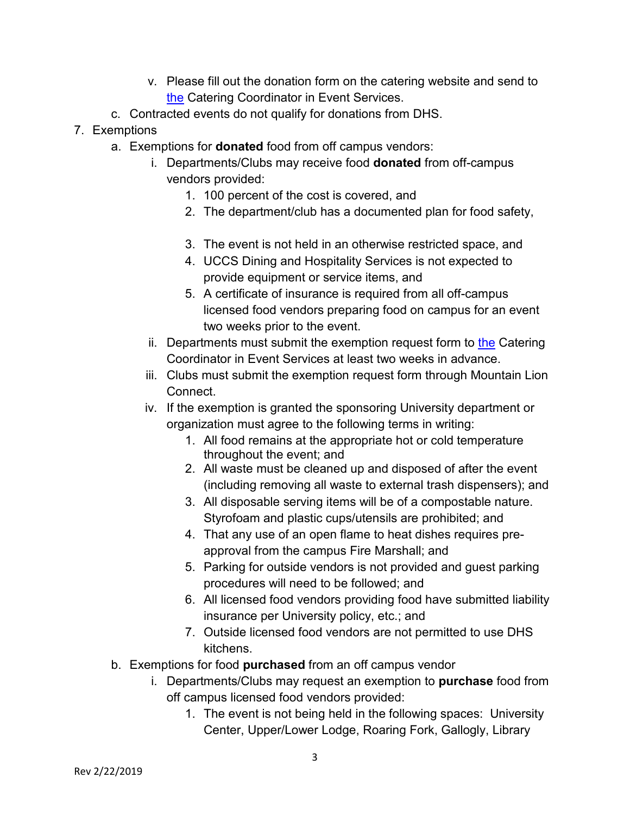- v. Please fill out the donation form on the catering website and send to [the](mailto:the) Catering Coordinator in Event Services.
- c. Contracted events do not qualify for donations from DHS.
- 7. Exemptions
	- a. Exemptions for **donated** food from off campus vendors:
		- i. Departments/Clubs may receive food **donated** from off-campus vendors provided:
			- 1. 100 percent of the cost is covered, and
			- 2. The department/club has a documented plan for food safety,
			- 3. The event is not held in an otherwise restricted space, and
			- 4. UCCS Dining and Hospitality Services is not expected to provide equipment or service items, and
			- 5. A certificate of insurance is required from all off-campus licensed food vendors preparing food on campus for an event two weeks prior to the event.
		- ii. Departments must submit [the](mailto:the) exemption request form to the Catering Coordinator in Event Services at least two weeks in advance.
		- iii. Clubs must submit the exemption request form through Mountain Lion Connect.
		- iv. If the exemption is granted the sponsoring University department or organization must agree to the following terms in writing:
			- 1. All food remains at the appropriate hot or cold temperature throughout the event; and
			- 2. All waste must be cleaned up and disposed of after the event (including removing all waste to external trash dispensers); and
			- 3. All disposable serving items will be of a compostable nature. Styrofoam and plastic cups/utensils are prohibited; and
			- 4. That any use of an open flame to heat dishes requires preapproval from the campus Fire Marshall; and
			- 5. Parking for outside vendors is not provided and guest parking procedures will need to be followed; and
			- 6. All licensed food vendors providing food have submitted liability insurance per University policy, etc.; and
			- 7. Outside licensed food vendors are not permitted to use DHS kitchens.
	- b. Exemptions for food **purchased** from an off campus vendor
		- i. Departments/Clubs may request an exemption to **purchase** food from off campus licensed food vendors provided:
			- 1. The event is not being held in the following spaces: University Center, Upper/Lower Lodge, Roaring Fork, Gallogly, Library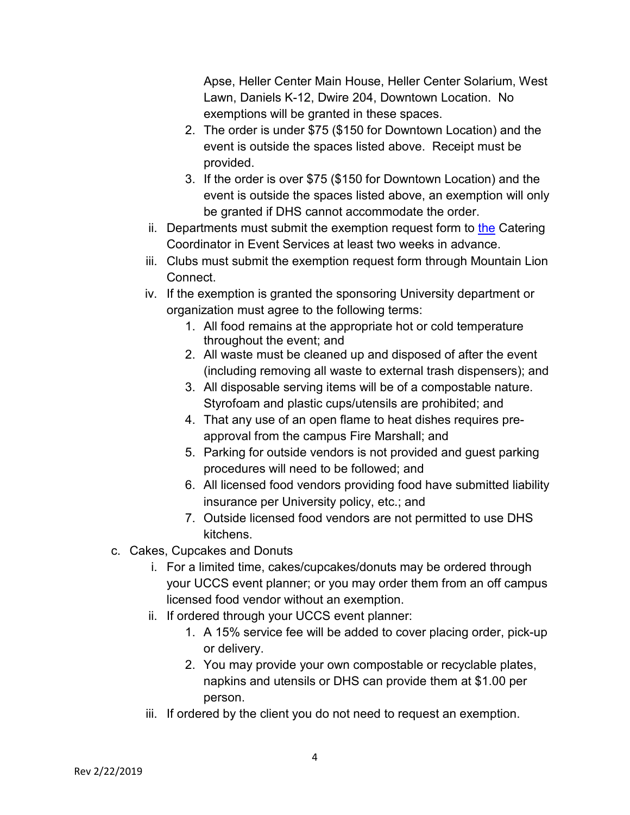Apse, Heller Center Main House, Heller Center Solarium, West Lawn, Daniels K-12, Dwire 204, Downtown Location. No exemptions will be granted in these spaces.

- 2. The order is under \$75 (\$150 for Downtown Location) and the event is outside the spaces listed above. Receipt must be provided.
- 3. If the order is over \$75 (\$150 for Downtown Location) and the event is outside the spaces listed above, an exemption will only be granted if DHS cannot accommodate the order.
- ii. Departments must submit the exemption request form to [the](mailto:the) Catering Coordinator in Event Services at least two weeks in advance.
- iii. Clubs must submit the exemption request form through Mountain Lion Connect.
- iv. If the exemption is granted the sponsoring University department or organization must agree to the following terms:
	- 1. All food remains at the appropriate hot or cold temperature throughout the event; and
	- 2. All waste must be cleaned up and disposed of after the event (including removing all waste to external trash dispensers); and
	- 3. All disposable serving items will be of a compostable nature. Styrofoam and plastic cups/utensils are prohibited; and
	- 4. That any use of an open flame to heat dishes requires preapproval from the campus Fire Marshall; and
	- 5. Parking for outside vendors is not provided and guest parking procedures will need to be followed; and
	- 6. All licensed food vendors providing food have submitted liability insurance per University policy, etc.; and
	- 7. Outside licensed food vendors are not permitted to use DHS kitchens.
- c. Cakes, Cupcakes and Donuts
	- i. For a limited time, cakes/cupcakes/donuts may be ordered through your UCCS event planner; or you may order them from an off campus licensed food vendor without an exemption.
	- ii. If ordered through your UCCS event planner:
		- 1. A 15% service fee will be added to cover placing order, pick-up or delivery.
		- 2. You may provide your own compostable or recyclable plates, napkins and utensils or DHS can provide them at \$1.00 per person.
	- iii. If ordered by the client you do not need to request an exemption.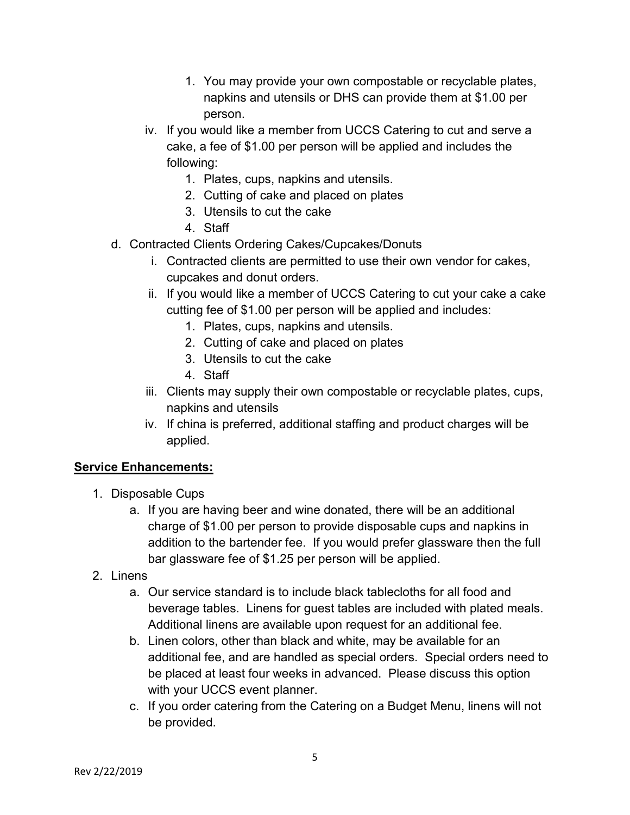- 1. You may provide your own compostable or recyclable plates, napkins and utensils or DHS can provide them at \$1.00 per person.
- iv. If you would like a member from UCCS Catering to cut and serve a cake, a fee of \$1.00 per person will be applied and includes the following:
	- 1. Plates, cups, napkins and utensils.
	- 2. Cutting of cake and placed on plates
	- 3. Utensils to cut the cake
	- 4. Staff
- d. Contracted Clients Ordering Cakes/Cupcakes/Donuts
	- i. Contracted clients are permitted to use their own vendor for cakes, cupcakes and donut orders.
	- ii. If you would like a member of UCCS Catering to cut your cake a cake cutting fee of \$1.00 per person will be applied and includes:
		- 1. Plates, cups, napkins and utensils.
		- 2. Cutting of cake and placed on plates
		- 3. Utensils to cut the cake
		- 4. Staff
	- iii. Clients may supply their own compostable or recyclable plates, cups, napkins and utensils
	- iv. If china is preferred, additional staffing and product charges will be applied.

### **Service Enhancements:**

- 1. Disposable Cups
	- a. If you are having beer and wine donated, there will be an additional charge of \$1.00 per person to provide disposable cups and napkins in addition to the bartender fee. If you would prefer glassware then the full bar glassware fee of \$1.25 per person will be applied.
- 2. Linens
	- a. Our service standard is to include black tablecloths for all food and beverage tables. Linens for guest tables are included with plated meals. Additional linens are available upon request for an additional fee.
	- b. Linen colors, other than black and white, may be available for an additional fee, and are handled as special orders. Special orders need to be placed at least four weeks in advanced. Please discuss this option with your UCCS event planner.
	- c. If you order catering from the Catering on a Budget Menu, linens will not be provided.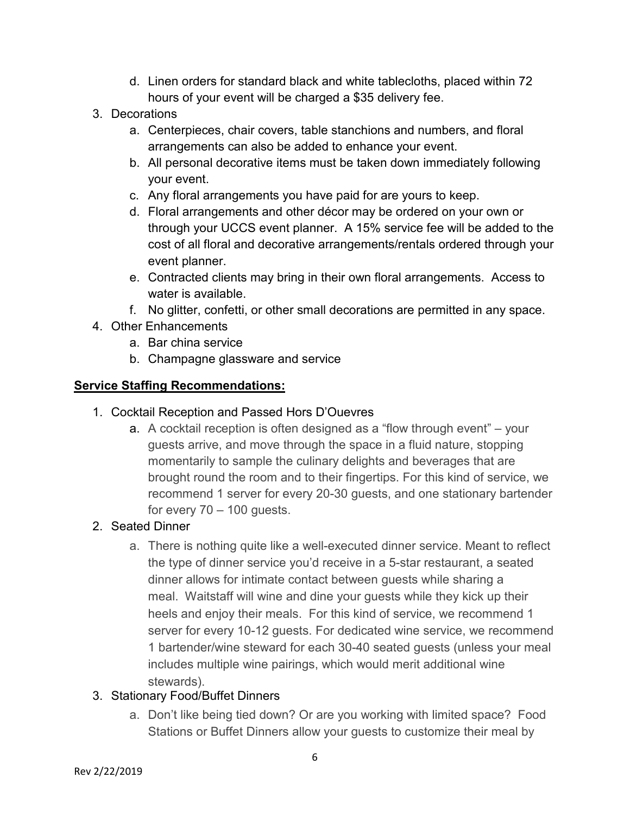- d. Linen orders for standard black and white tablecloths, placed within 72 hours of your event will be charged a \$35 delivery fee.
- 3. Decorations
	- a. Centerpieces, chair covers, table stanchions and numbers, and floral arrangements can also be added to enhance your event.
	- b. All personal decorative items must be taken down immediately following your event.
	- c. Any floral arrangements you have paid for are yours to keep.
	- d. Floral arrangements and other décor may be ordered on your own or through your UCCS event planner. A 15% service fee will be added to the cost of all floral and decorative arrangements/rentals ordered through your event planner.
	- e. Contracted clients may bring in their own floral arrangements. Access to water is available.
	- f. No glitter, confetti, or other small decorations are permitted in any space.
- 4. Other Enhancements
	- a. Bar china service
	- b. Champagne glassware and service

# **Service Staffing Recommendations:**

- 1. Cocktail Reception and Passed Hors D'Ouevres
	- a. A cocktail reception is often designed as a "flow through event" your guests arrive, and move through the space in a fluid nature, stopping momentarily to sample the culinary delights and beverages that are brought round the room and to their fingertips. For this kind of service, we recommend 1 server for every 20-30 guests, and one stationary bartender for every  $70 - 100$  guests.

# 2. Seated Dinner

a. There is nothing quite like a well-executed dinner service. Meant to reflect the type of dinner service you'd receive in a 5-star restaurant, a seated dinner allows for intimate contact between guests while sharing a meal. Waitstaff will wine and dine your guests while they kick up their heels and enjoy their meals. For this kind of service, we recommend 1 server for every 10-12 guests. For dedicated wine service, we recommend 1 bartender/wine steward for each 30-40 seated guests (unless your meal includes multiple wine pairings, which would merit additional wine stewards).

## 3. Stationary Food/Buffet Dinners

a. Don't like being tied down? Or are you working with limited space? Food Stations or Buffet Dinners allow your guests to customize their meal by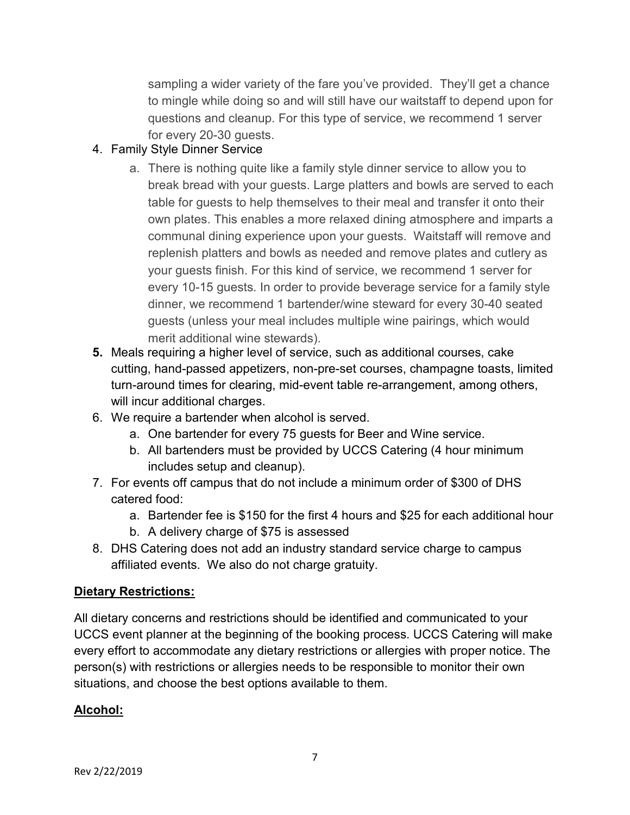sampling a wider variety of the fare you've provided. They'll get a chance to mingle while doing so and will still have our waitstaff to depend upon for questions and cleanup. For this type of service, we recommend 1 server for every 20-30 guests.

- 4. Family Style Dinner Service
	- a. There is nothing quite like a family style dinner service to allow you to break bread with your guests. Large platters and bowls are served to each table for guests to help themselves to their meal and transfer it onto their own plates. This enables a more relaxed dining atmosphere and imparts a communal dining experience upon your guests. Waitstaff will remove and replenish platters and bowls as needed and remove plates and cutlery as your guests finish. For this kind of service, we recommend 1 server for every 10-15 guests. In order to provide beverage service for a family style dinner, we recommend 1 bartender/wine steward for every 30-40 seated guests (unless your meal includes multiple wine pairings, which would merit additional wine stewards).
- **5.** Meals requiring a higher level of service, such as additional courses, cake cutting, hand-passed appetizers, non-pre-set courses, champagne toasts, limited turn-around times for clearing, mid-event table re-arrangement, among others, will incur additional charges.
- 6. We require a bartender when alcohol is served.
	- a. One bartender for every 75 guests for Beer and Wine service.
	- b. All bartenders must be provided by UCCS Catering (4 hour minimum includes setup and cleanup).
- 7. For events off campus that do not include a minimum order of \$300 of DHS catered food:
	- a. Bartender fee is \$150 for the first 4 hours and \$25 for each additional hour
	- b. A delivery charge of \$75 is assessed
- 8. DHS Catering does not add an industry standard service charge to campus affiliated events. We also do not charge gratuity.

### **Dietary Restrictions:**

All dietary concerns and restrictions should be identified and communicated to your UCCS event planner at the beginning of the booking process. UCCS Catering will make every effort to accommodate any dietary restrictions or allergies with proper notice. The person(s) with restrictions or allergies needs to be responsible to monitor their own situations, and choose the best options available to them.

## **Alcohol:**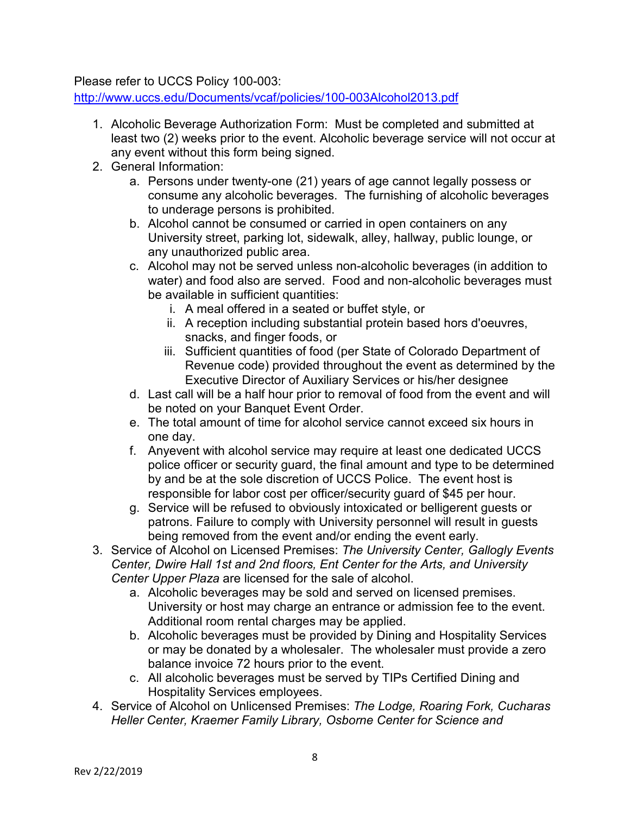Please refer to UCCS Policy 100-003:

<http://www.uccs.edu/Documents/vcaf/policies/100-003Alcohol2013.pdf>

- 1. Alcoholic Beverage Authorization Form: Must be completed and submitted at least two (2) weeks prior to the event. Alcoholic beverage service will not occur at any event without this form being signed.
- 2. General Information:
	- a. Persons under twenty-one (21) years of age cannot legally possess or consume any alcoholic beverages. The furnishing of alcoholic beverages to underage persons is prohibited.
	- b. Alcohol cannot be consumed or carried in open containers on any University street, parking lot, sidewalk, alley, hallway, public lounge, or any unauthorized public area.
	- c. Alcohol may not be served unless non-alcoholic beverages (in addition to water) and food also are served. Food and non-alcoholic beverages must be available in sufficient quantities:
		- i. A meal offered in a seated or buffet style, or
		- ii. A reception including substantial protein based hors d'oeuvres, snacks, and finger foods, or
		- iii. Sufficient quantities of food (per State of Colorado Department of Revenue code) provided throughout the event as determined by the Executive Director of Auxiliary Services or his/her designee
	- d. Last call will be a half hour prior to removal of food from the event and will be noted on your Banquet Event Order.
	- e. The total amount of time for alcohol service cannot exceed six hours in one day.
	- f. Anyevent with alcohol service may require at least one dedicated UCCS police officer or security guard, the final amount and type to be determined by and be at the sole discretion of UCCS Police. The event host is responsible for labor cost per officer/security guard of \$45 per hour.
	- g. Service will be refused to obviously intoxicated or belligerent guests or patrons. Failure to comply with University personnel will result in guests being removed from the event and/or ending the event early.
- 3. Service of Alcohol on Licensed Premises: *The University Center, Gallogly Events Center, Dwire Hall 1st and 2nd floors, Ent Center for the Arts, and University Center Upper Plaza* are licensed for the sale of alcohol.
	- a. Alcoholic beverages may be sold and served on licensed premises. University or host may charge an entrance or admission fee to the event. Additional room rental charges may be applied.
	- b. Alcoholic beverages must be provided by Dining and Hospitality Services or may be donated by a wholesaler. The wholesaler must provide a zero balance invoice 72 hours prior to the event.
	- c. All alcoholic beverages must be served by TIPs Certified Dining and Hospitality Services employees.
- 4. Service of Alcohol on Unlicensed Premises: *The Lodge, Roaring Fork, Cucharas Heller Center, Kraemer Family Library, Osborne Center for Science and*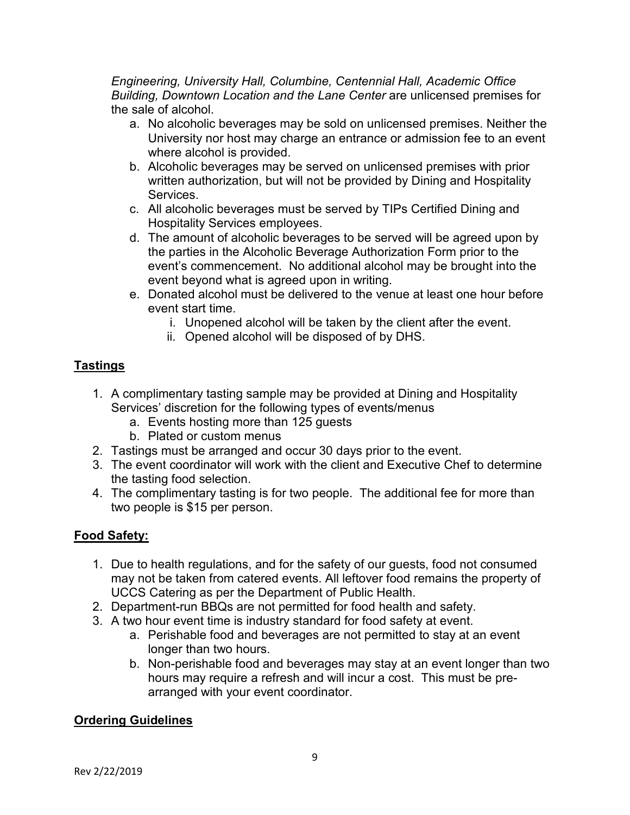*Engineering, University Hall, Columbine, Centennial Hall, Academic Office Building, Downtown Location and the Lane Center* are unlicensed premises for the sale of alcohol.

- a. No alcoholic beverages may be sold on unlicensed premises. Neither the University nor host may charge an entrance or admission fee to an event where alcohol is provided.
- b. Alcoholic beverages may be served on unlicensed premises with prior written authorization, but will not be provided by Dining and Hospitality Services.
- c. All alcoholic beverages must be served by TIPs Certified Dining and Hospitality Services employees.
- d. The amount of alcoholic beverages to be served will be agreed upon by the parties in the Alcoholic Beverage Authorization Form prior to the event's commencement. No additional alcohol may be brought into the event beyond what is agreed upon in writing.
- e. Donated alcohol must be delivered to the venue at least one hour before event start time.
	- i. Unopened alcohol will be taken by the client after the event.
	- ii. Opened alcohol will be disposed of by DHS.

# **Tastings**

- 1. A complimentary tasting sample may be provided at Dining and Hospitality Services' discretion for the following types of events/menus
	- a. Events hosting more than 125 guests
	- b. Plated or custom menus
- 2. Tastings must be arranged and occur 30 days prior to the event.
- 3. The event coordinator will work with the client and Executive Chef to determine the tasting food selection.
- 4. The complimentary tasting is for two people. The additional fee for more than two people is \$15 per person.

# **Food Safety:**

- 1. Due to health regulations, and for the safety of our guests, food not consumed may not be taken from catered events. All leftover food remains the property of UCCS Catering as per the Department of Public Health.
- 2. Department-run BBQs are not permitted for food health and safety.
- 3. A two hour event time is industry standard for food safety at event.
	- a. Perishable food and beverages are not permitted to stay at an event longer than two hours.
	- b. Non-perishable food and beverages may stay at an event longer than two hours may require a refresh and will incur a cost. This must be prearranged with your event coordinator.

# **Ordering Guidelines**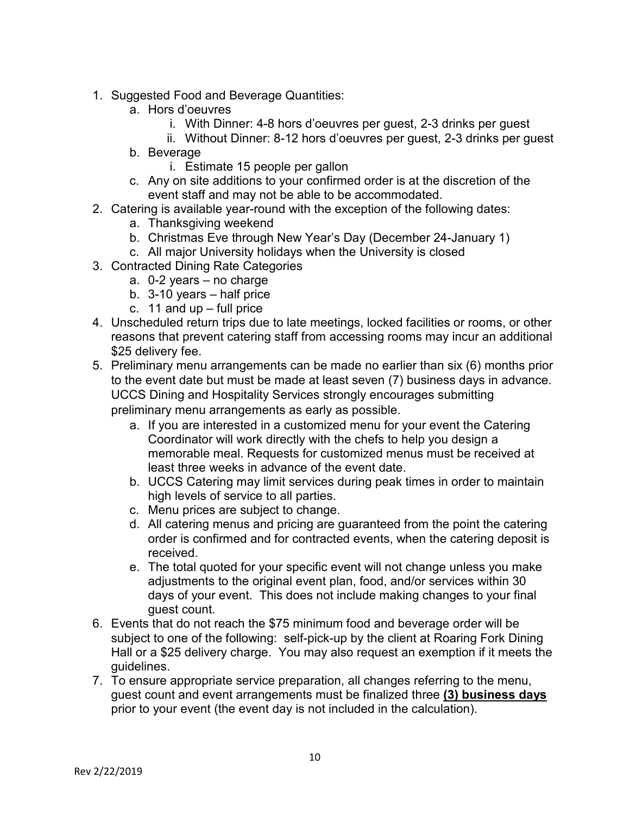- 1. Suggested Food and Beverage Quantities:
	- a. Hors d'oeuvres
		- i. With Dinner: 4-8 hors d'oeuvres per guest, 2-3 drinks per guest
		- ii. Without Dinner: 8-12 hors d'oeuvres per guest, 2-3 drinks per guest
	- b. Beverage
		- i. Estimate 15 people per gallon
	- c. Any on site additions to your confirmed order is at the discretion of the event staff and may not be able to be accommodated.
- 2. Catering is available year-round with the exception of the following dates:
	- a. Thanksgiving weekend
	- b. Christmas Eve through New Year's Day (December 24-January 1)
	- c. All major University holidays when the University is closed
- 3. Contracted Dining Rate Categories
	- a. 0-2 years no charge
	- b. 3-10 years half price
	- c. 11 and up full price
- 4. Unscheduled return trips due to late meetings, locked facilities or rooms, or other reasons that prevent catering staff from accessing rooms may incur an additional \$25 delivery fee.
- 5. Preliminary menu arrangements can be made no earlier than six (6) months prior to the event date but must be made at least seven (7) business days in advance. UCCS Dining and Hospitality Services strongly encourages submitting preliminary menu arrangements as early as possible.
	- a. If you are interested in a customized menu for your event the Catering Coordinator will work directly with the chefs to help you design a memorable meal. Requests for customized menus must be received at least three weeks in advance of the event date.
	- b. UCCS Catering may limit services during peak times in order to maintain high levels of service to all parties.
	- c. Menu prices are subject to change.
	- d. All catering menus and pricing are guaranteed from the point the catering order is confirmed and for contracted events, when the catering deposit is received.
	- e. The total quoted for your specific event will not change unless you make adjustments to the original event plan, food, and/or services within 30 days of your event. This does not include making changes to your final guest count.
- 6. Events that do not reach the \$75 minimum food and beverage order will be subject to one of the following: self-pick-up by the client at Roaring Fork Dining Hall or a \$25 delivery charge. You may also request an exemption if it meets the guidelines.
- 7. To ensure appropriate service preparation, all changes referring to the menu, guest count and event arrangements must be finalized three **(3) business days** prior to your event (the event day is not included in the calculation).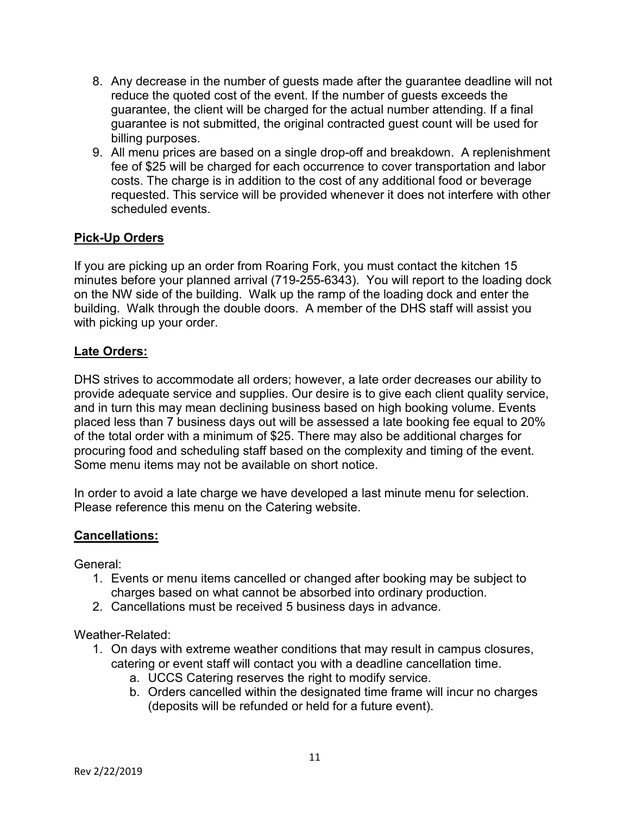- 8. Any decrease in the number of guests made after the guarantee deadline will not reduce the quoted cost of the event. If the number of guests exceeds the guarantee, the client will be charged for the actual number attending. If a final guarantee is not submitted, the original contracted guest count will be used for billing purposes.
- 9. All menu prices are based on a single drop-off and breakdown. A replenishment fee of \$25 will be charged for each occurrence to cover transportation and labor costs. The charge is in addition to the cost of any additional food or beverage requested. This service will be provided whenever it does not interfere with other scheduled events.

### **Pick-Up Orders**

If you are picking up an order from Roaring Fork, you must contact the kitchen 15 minutes before your planned arrival (719-255-6343). You will report to the loading dock on the NW side of the building. Walk up the ramp of the loading dock and enter the building. Walk through the double doors. A member of the DHS staff will assist you with picking up your order.

### **Late Orders:**

DHS strives to accommodate all orders; however, a late order decreases our ability to provide adequate service and supplies. Our desire is to give each client quality service, and in turn this may mean declining business based on high booking volume. Events placed less than 7 business days out will be assessed a late booking fee equal to 20% of the total order with a minimum of \$25. There may also be additional charges for procuring food and scheduling staff based on the complexity and timing of the event. Some menu items may not be available on short notice.

In order to avoid a late charge we have developed a last minute menu for selection. Please reference this menu on the Catering website.

### **Cancellations:**

General:

- 1. Events or menu items cancelled or changed after booking may be subject to charges based on what cannot be absorbed into ordinary production.
- 2. Cancellations must be received 5 business days in advance.

Weather-Related:

- 1. On days with extreme weather conditions that may result in campus closures, catering or event staff will contact you with a deadline cancellation time.
	- a. UCCS Catering reserves the right to modify service.
	- b. Orders cancelled within the designated time frame will incur no charges (deposits will be refunded or held for a future event).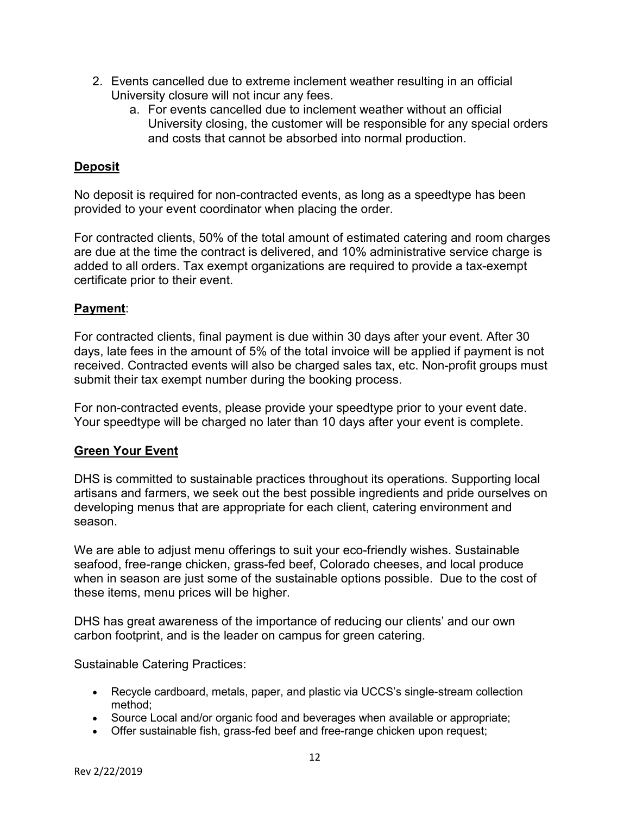- 2. Events cancelled due to extreme inclement weather resulting in an official University closure will not incur any fees.
	- a. For events cancelled due to inclement weather without an official University closing, the customer will be responsible for any special orders and costs that cannot be absorbed into normal production.

## **Deposit**

No deposit is required for non-contracted events, as long as a speedtype has been provided to your event coordinator when placing the order.

For contracted clients, 50% of the total amount of estimated catering and room charges are due at the time the contract is delivered, and 10% administrative service charge is added to all orders. Tax exempt organizations are required to provide a tax-exempt certificate prior to their event.

## **Payment**:

For contracted clients, final payment is due within 30 days after your event. After 30 days, late fees in the amount of 5% of the total invoice will be applied if payment is not received. Contracted events will also be charged sales tax, etc. Non-profit groups must submit their tax exempt number during the booking process.

For non-contracted events, please provide your speedtype prior to your event date. Your speedtype will be charged no later than 10 days after your event is complete.

### **Green Your Event**

DHS is committed to sustainable practices throughout its operations. Supporting local artisans and farmers, we seek out the best possible ingredients and pride ourselves on developing menus that are appropriate for each client, catering environment and season.

We are able to adjust menu offerings to suit your eco-friendly wishes. Sustainable seafood, free-range chicken, grass-fed beef, Colorado cheeses, and local produce when in season are just some of the sustainable options possible. Due to the cost of these items, menu prices will be higher.

DHS has great awareness of the importance of reducing our clients' and our own carbon footprint, and is the leader on campus for green catering.

Sustainable Catering Practices:

- Recycle cardboard, metals, paper, and plastic via UCCS's single-stream collection method;
- Source Local and/or organic food and beverages when available or appropriate;
- Offer sustainable fish, grass-fed beef and free-range chicken upon request;